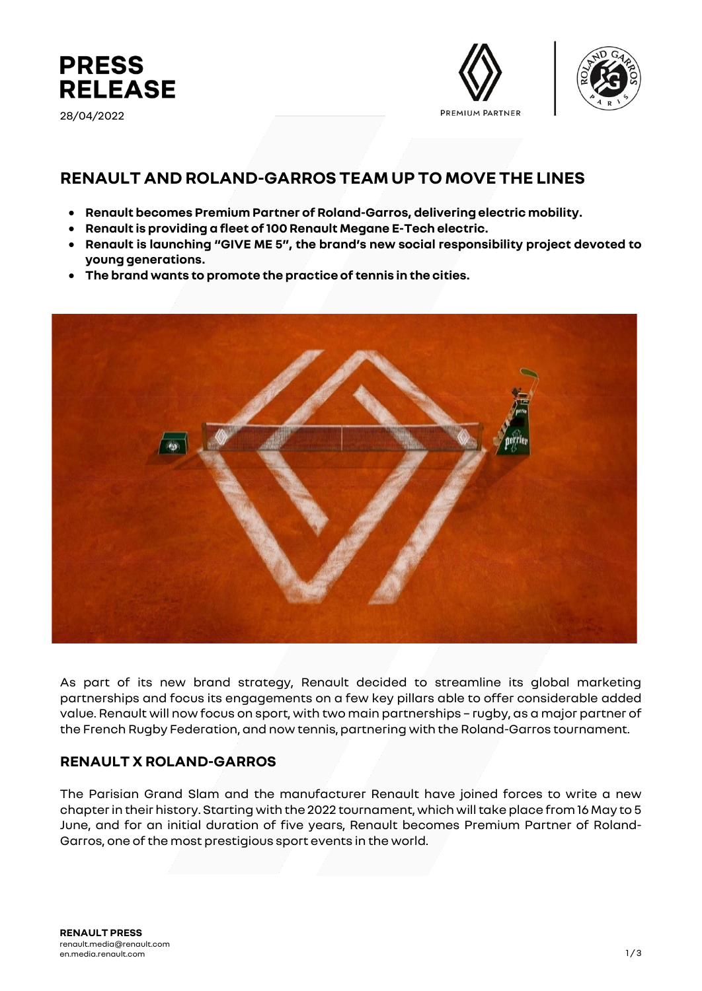

28/04/2022





# **RENAULT AND ROLAND-GARROS TEAM UP TO MOVE THE LINES**

- **Renault becomes Premium Partner of Roland-Garros, deliveringelectric mobility.**
- **Renault is providing a fleet of 100 Renault Megane E-Tech electric.**
- **Renault is launching "GIVE ME 5", the brand's new social responsibility project devoted to young generations.**
- **The brand wants to promote the practice of tennis in the cities.**



As part of its new brand strategy, Renault decided to streamline its global marketing partnerships and focus its engagements on a few key pillars able to offer considerable added value. Renault will now focus on sport, with two main partnerships – rugby, as a major partner of the French Rugby Federation, and now tennis, partnering with the Roland-Garros tournament.

### **RENAULT X ROLAND-GARROS**

The Parisian Grand Slam and the manufacturer Renault have joined forces to write a new chapter in their history. Starting with the 2022 tournament, which will take place from 16 May to 5 June, and for an initial duration of five years, Renault becomes Premium Partner of Roland-Garros, one of the most prestigious sport events in the world.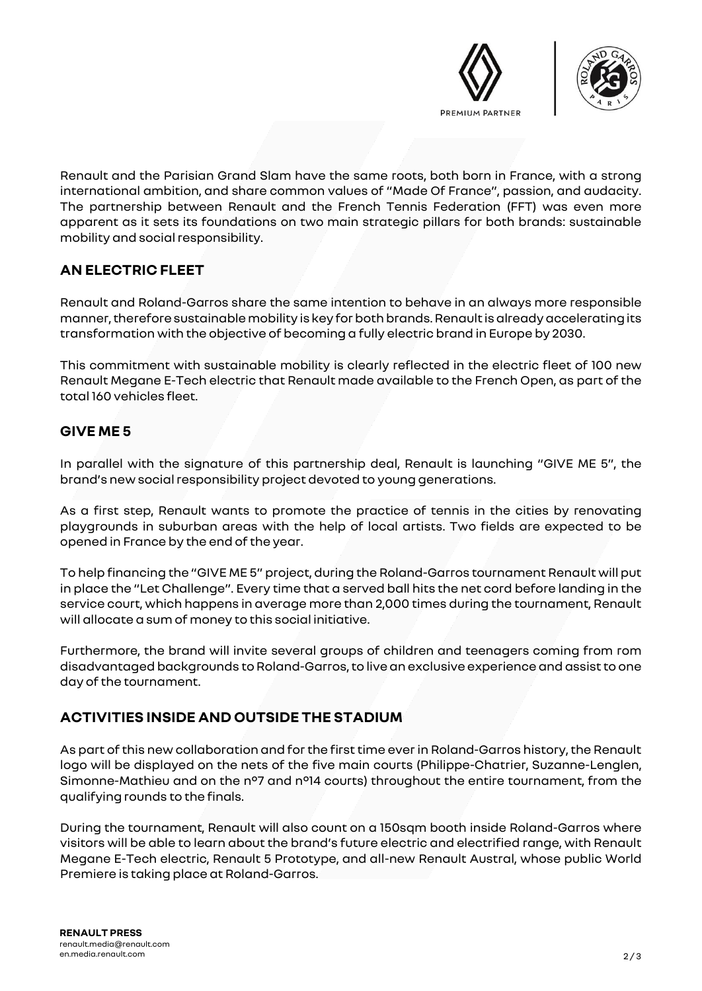



Renault and the Parisian Grand Slam have the same roots, both born in France, with a strong international ambition, and share common values of "Made Of France", passion, and audacity. The partnership between Renault and the French Tennis Federation (FFT) was even more apparent as it sets its foundations on two main strategic pillars for both brands: sustainable mobility and social responsibility.

# **AN ELECTRIC FLEET**

Renault and Roland-Garros share the same intention to behave in an always more responsible manner, therefore sustainable mobility is key for both brands. Renault is already accelerating its transformation with the objective of becoming a fully electric brand in Europe by 2030.

This commitment with sustainable mobility is clearly reflected in the electric fleet of 100 new Renault Megane E-Tech electric that Renault made available to the French Open, as part of the total 160 vehicles fleet.

### **GIVE ME 5**

In parallel with the signature of this partnership deal, Renault is launching "GIVE ME 5", the brand's new social responsibility project devoted to young generations.

As a first step, Renault wants to promote the practice of tennis in the cities by renovating playgrounds in suburban areas with the help of local artists. Two fields are expected to be opened in France by the end of the year.

To help financing the "GIVE ME 5" project, during the Roland-Garros tournament Renault will put in place the "Let Challenge". Every time that a served ball hits the net cord before landing in the service court, which happens in average more than 2,000 times during the tournament, Renault will allocate a sum of money to this social initiative.

Furthermore, the brand will invite several groups of children and teenagers coming from rom disadvantaged backgrounds to Roland-Garros, to live an exclusive experience and assist to one day of the tournament.

## **ACTIVITIES INSIDE AND OUTSIDE THE STADIUM**

As part of this new collaboration and for the first time ever in Roland-Garros history, the Renault logo will be displayed on the nets of the five main courts (Philippe-Chatrier, Suzanne-Lenglen, Simonne-Mathieu and on the n°7 and n°14 courts) throughout the entire tournament, from the qualifying rounds to the finals.

During the tournament, Renault will also count on a 150sqm booth inside Roland-Garros where visitors will be able to learn about the brand's future electric and electrified range, with Renault Megane E-Tech electric, Renault 5 Prototype, and all-new Renault Austral, whose public World Premiere is taking place at Roland-Garros.